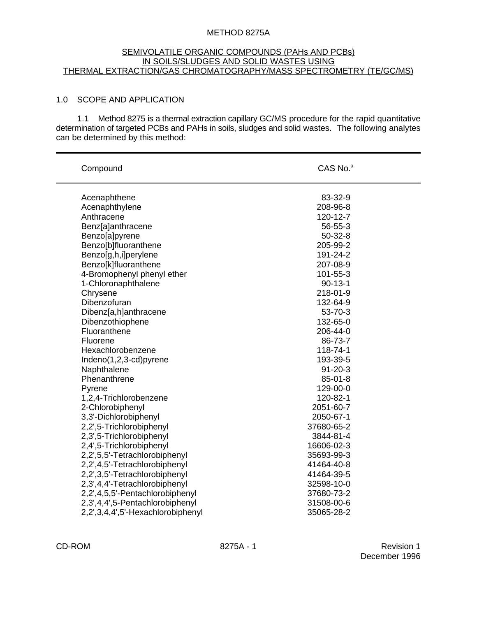### METHOD 8275A

#### SEMIVOLATILE ORGANIC COMPOUNDS (PAHs AND PCBs) IN SOILS/SLUDGES AND SOLID WASTES USING THERMAL EXTRACTION/GAS CHROMATOGRAPHY/MASS SPECTROMETRY (TE/GC/MS)

### 1.0 SCOPE AND APPLICATION

1.1 Method 8275 is a thermal extraction capillary GC/MS procedure for the rapid quantitative determination of targeted PCBs and PAHs in soils, sludges and solid wastes. The following analytes can be determined by this method:

| Compound                          | CAS No. <sup>a</sup> |  |  |
|-----------------------------------|----------------------|--|--|
| Acenaphthene                      | 83-32-9              |  |  |
| Acenaphthylene                    | 208-96-8             |  |  |
| Anthracene                        | 120-12-7             |  |  |
| Benz[a]anthracene                 | 56-55-3              |  |  |
| Benzo[a]pyrene                    | $50-32-8$            |  |  |
| Benzo[b]fluoranthene              | 205-99-2             |  |  |
| Benzo[g,h,i]perylene              | 191-24-2             |  |  |
| Benzo[k]fluoranthene              | 207-08-9             |  |  |
| 4-Bromophenyl phenyl ether        | 101-55-3             |  |  |
| 1-Chloronaphthalene               | $90 - 13 - 1$        |  |  |
| Chrysene                          | 218-01-9             |  |  |
| Dibenzofuran                      | 132-64-9             |  |  |
| Dibenz[a,h]anthracene             | 53-70-3              |  |  |
| Dibenzothiophene                  | 132-65-0             |  |  |
| Fluoranthene                      | 206-44-0             |  |  |
| Fluorene                          | 86-73-7              |  |  |
| Hexachlorobenzene                 | 118-74-1             |  |  |
| Indeno(1,2,3-cd)pyrene            | 193-39-5             |  |  |
| Naphthalene                       | $91 - 20 - 3$        |  |  |
| Phenanthrene                      | $85 - 01 - 8$        |  |  |
| Pyrene                            | 129-00-0             |  |  |
| 1,2,4-Trichlorobenzene            | 120-82-1             |  |  |
| 2-Chlorobiphenyl                  | 2051-60-7            |  |  |
| 3,3'-Dichlorobiphenyl             | 2050-67-1            |  |  |
| 2,2',5-Trichlorobiphenyl          | 37680-65-2           |  |  |
| 2,3',5-Trichlorobiphenyl          | 3844-81-4            |  |  |
| 2,4',5-Trichlorobiphenyl          | 16606-02-3           |  |  |
| 2,2',5,5'-Tetrachlorobiphenyl     | 35693-99-3           |  |  |
| 2,2',4,5'-Tetrachlorobiphenyl     | 41464-40-8           |  |  |
| 2,2',3,5'-Tetrachlorobiphenyl     | 41464-39-5           |  |  |
| 2,3',4,4'-Tetrachlorobiphenyl     | 32598-10-0           |  |  |
| 2,2',4,5,5'-Pentachlorobiphenyl   | 37680-73-2           |  |  |
| 2,3',4,4',5-Pentachlorobiphenyl   | 31508-00-6           |  |  |
| 2,2',3,4,4',5'-Hexachlorobiphenyl | 35065-28-2           |  |  |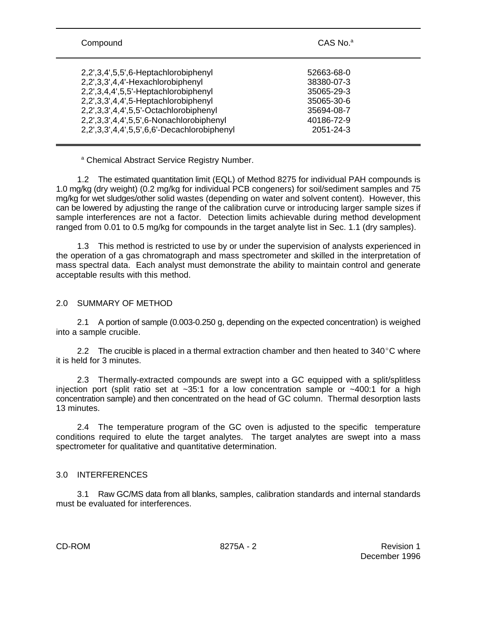| Compound                                    | $CAS$ No. <sup>a</sup> |  |  |
|---------------------------------------------|------------------------|--|--|
| 2,2',3,4',5,5',6-Heptachlorobiphenyl        | 52663-68-0             |  |  |
| 2,2',3,3',4,4'-Hexachlorobiphenyl           | 38380-07-3             |  |  |
| 2,2',3,4,4',5,5'-Heptachlorobiphenyl        | 35065-29-3             |  |  |
| 2,2',3,3',4,4',5-Heptachlorobiphenyl        | 35065-30-6             |  |  |
| 2,2',3,3',4,4',5,5'-Octachlorobiphenyl      | 35694-08-7             |  |  |
| 2,2',3,3',4,4',5,5',6-Nonachlorobiphenyl    | 40186-72-9             |  |  |
| 2,2',3,3',4,4',5,5',6,6'-Decachlorobiphenyl | 2051-24-3              |  |  |

<sup>a</sup> Chemical Abstract Service Registry Number.

1.2 The estimated quantitation limit (EQL) of Method 8275 for individual PAH compounds is 1.0 mg/kg (dry weight) (0.2 mg/kg for individual PCB congeners) for soil/sediment samples and 75 mg/kg for wet sludges/other solid wastes (depending on water and solvent content). However, this can be lowered by adjusting the range of the calibration curve or introducing larger sample sizes if sample interferences are not a factor. Detection limits achievable during method development ranged from 0.01 to 0.5 mg/kg for compounds in the target analyte list in Sec. 1.1 (dry samples).

1.3 This method is restricted to use by or under the supervision of analysts experienced in the operation of a gas chromatograph and mass spectrometer and skilled in the interpretation of mass spectral data. Each analyst must demonstrate the ability to maintain control and generate acceptable results with this method.

# 2.0 SUMMARY OF METHOD

2.1 A portion of sample (0.003-0.250 g, depending on the expected concentration) is weighed into a sample crucible.

2.2 The crucible is placed in a thermal extraction chamber and then heated to  $340^{\circ}$ C where it is held for 3 minutes.

2.3 Thermally-extracted compounds are swept into a GC equipped with a split/splitless injection port (split ratio set at  $\sim$ 35:1 for a low concentration sample or  $\sim$ 400:1 for a high concentration sample) and then concentrated on the head of GC column. Thermal desorption lasts 13 minutes.

2.4 The temperature program of the GC oven is adjusted to the specific temperature conditions required to elute the target analytes. The target analytes are swept into a mass spectrometer for qualitative and quantitative determination.

### 3.0 INTERFERENCES

3.1 Raw GC/MS data from all blanks, samples, calibration standards and internal standards must be evaluated for interferences.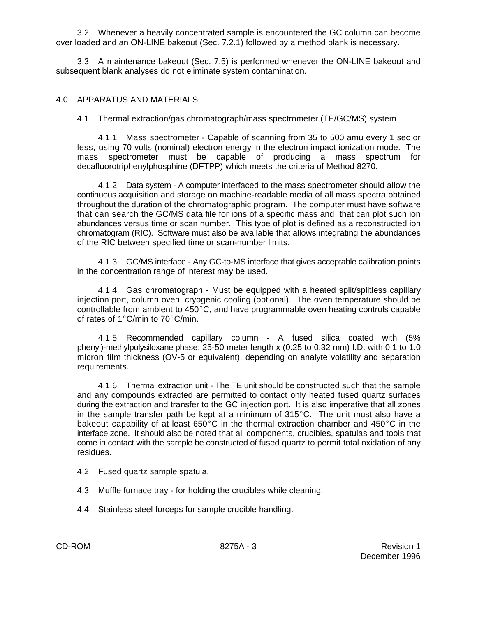3.2 Whenever a heavily concentrated sample is encountered the GC column can become over loaded and an ON-LINE bakeout (Sec. 7.2.1) followed by a method blank is necessary.

3.3 A maintenance bakeout (Sec. 7.5) is performed whenever the ON-LINE bakeout and subsequent blank analyses do not eliminate system contamination.

# 4.0 APPARATUS AND MATERIALS

# 4.1 Thermal extraction/gas chromatograph/mass spectrometer (TE/GC/MS) system

4.1.1 Mass spectrometer - Capable of scanning from 35 to 500 amu every 1 sec or less, using 70 volts (nominal) electron energy in the electron impact ionization mode. The mass spectrometer must be capable of producing a mass spectrum for decafluorotriphenylphosphine (DFTPP) which meets the criteria of Method 8270.

4.1.2 Data system - A computer interfaced to the mass spectrometer should allow the continuous acquisition and storage on machine-readable media of all mass spectra obtained throughout the duration of the chromatographic program. The computer must have software that can search the GC/MS data file for ions of a specific mass and that can plot such ion abundances versus time or scan number. This type of plot is defined as a reconstructed ion chromatogram (RIC). Software must also be available that allows integrating the abundances of the RIC between specified time or scan-number limits.

4.1.3 GC/MS interface - Any GC-to-MS interface that gives acceptable calibration points in the concentration range of interest may be used.

4.1.4 Gas chromatograph - Must be equipped with a heated split/splitless capillary injection port, column oven, cryogenic cooling (optional). The oven temperature should be controllable from ambient to  $450^{\circ}$ C, and have programmable oven heating controls capable of rates of 1 $^{\circ}$ C/min to 70 $^{\circ}$ C/min.

4.1.5 Recommended capillary column - A fused silica coated with (5% phenyl)-methylpolysiloxane phase; 25-50 meter length x (0.25 to 0.32 mm) I.D. with 0.1 to 1.0 micron film thickness (OV-5 or equivalent), depending on analyte volatility and separation requirements.

4.1.6 Thermal extraction unit - The TE unit should be constructed such that the sample and any compounds extracted are permitted to contact only heated fused quartz surfaces during the extraction and transfer to the GC injection port. It is also imperative that all zones in the sample transfer path be kept at a minimum of  $315^{\circ}$ C. The unit must also have a bakeout capability of at least 650°C in the thermal extraction chamber and 450°C in the interface zone. It should also be noted that all components, crucibles, spatulas and tools that come in contact with the sample be constructed of fused quartz to permit total oxidation of any residues.

- 4.2 Fused quartz sample spatula.
- 4.3 Muffle furnace tray for holding the crucibles while cleaning.
- 4.4 Stainless steel forceps for sample crucible handling.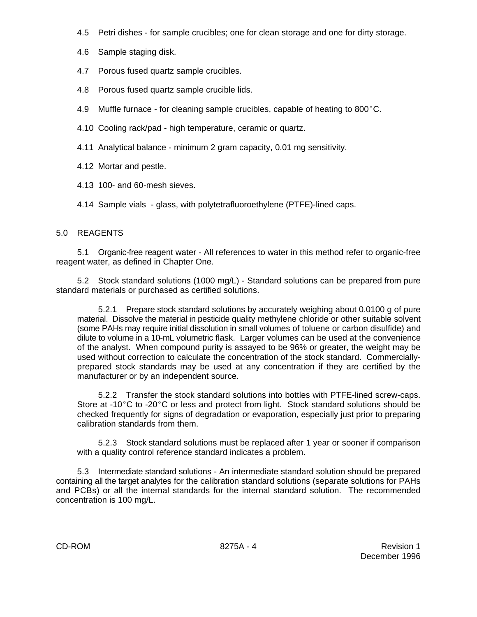- 4.5 Petri dishes for sample crucibles; one for clean storage and one for dirty storage.
- 4.6 Sample staging disk.
- 4.7 Porous fused quartz sample crucibles.
- 4.8 Porous fused quartz sample crucible lids.
- 4.9 Muffle furnace for cleaning sample crucibles, capable of heating to 800 $^{\circ}$ C.
- 4.10 Cooling rack/pad high temperature, ceramic or quartz.
- 4.11 Analytical balance minimum 2 gram capacity, 0.01 mg sensitivity.
- 4.12 Mortar and pestle.
- 4.13 100- and 60-mesh sieves.
- 4.14 Sample vials glass, with polytetrafluoroethylene (PTFE)-lined caps.

# 5.0 REAGENTS

5.1 Organic-free reagent water - All references to water in this method refer to organic-free reagent water, as defined in Chapter One.

5.2 Stock standard solutions (1000 mg/L) - Standard solutions can be prepared from pure standard materials or purchased as certified solutions.

5.2.1 Prepare stock standard solutions by accurately weighing about 0.0100 g of pure material. Dissolve the material in pesticide quality methylene chloride or other suitable solvent (some PAHs may require initial dissolution in small volumes of toluene or carbon disulfide) and dilute to volume in a 10-mL volumetric flask. Larger volumes can be used at the convenience of the analyst. When compound purity is assayed to be 96% or greater, the weight may be used without correction to calculate the concentration of the stock standard. Commerciallyprepared stock standards may be used at any concentration if they are certified by the manufacturer or by an independent source.

5.2.2 Transfer the stock standard solutions into bottles with PTFE-lined screw-caps. Store at -10 $^{\circ}$ C to -20 $^{\circ}$ C or less and protect from light. Stock standard solutions should be checked frequently for signs of degradation or evaporation, especially just prior to preparing calibration standards from them.

5.2.3 Stock standard solutions must be replaced after 1 year or sooner if comparison with a quality control reference standard indicates a problem.

5.3 Intermediate standard solutions - An intermediate standard solution should be prepared containing all the target analytes for the calibration standard solutions (separate solutions for PAHs and PCBs) or all the internal standards for the internal standard solution. The recommended concentration is 100 mg/L.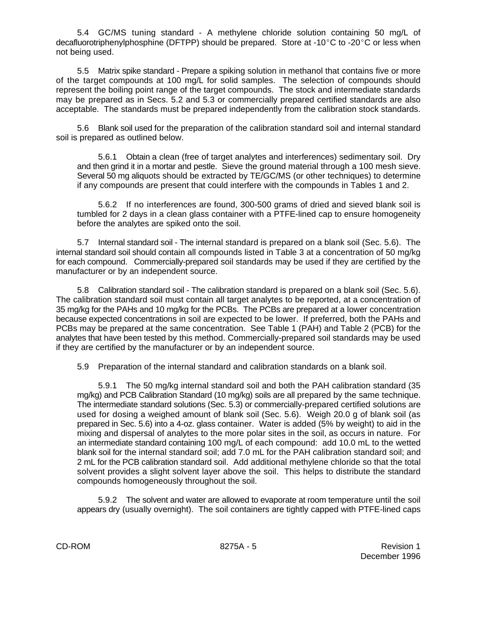5.4 GC/MS tuning standard - A methylene chloride solution containing 50 mg/L of decafluorotriphenylphosphine (DFTPP) should be prepared. Store at -10°C to -20°C or less when not being used.

5.5 Matrix spike standard - Prepare a spiking solution in methanol that contains five or more of the target compounds at 100 mg/L for solid samples. The selection of compounds should represent the boiling point range of the target compounds. The stock and intermediate standards may be prepared as in Secs. 5.2 and 5.3 or commercially prepared certified standards are also acceptable. The standards must be prepared independently from the calibration stock standards.

5.6 Blank soil used for the preparation of the calibration standard soil and internal standard soil is prepared as outlined below.

5.6.1 Obtain a clean (free of target analytes and interferences) sedimentary soil. Dry and then grind it in a mortar and pestle. Sieve the ground material through a 100 mesh sieve. Several 50 mg aliquots should be extracted by TE/GC/MS (or other techniques) to determine if any compounds are present that could interfere with the compounds in Tables 1 and 2.

5.6.2 If no interferences are found, 300-500 grams of dried and sieved blank soil is tumbled for 2 days in a clean glass container with a PTFE-lined cap to ensure homogeneity before the analytes are spiked onto the soil.

5.7 Internal standard soil - The internal standard is prepared on a blank soil (Sec. 5.6). The internal standard soil should contain all compounds listed in Table 3 at a concentration of 50 mg/kg for each compound. Commercially-prepared soil standards may be used if they are certified by the manufacturer or by an independent source.

5.8 Calibration standard soil - The calibration standard is prepared on a blank soil (Sec. 5.6). The calibration standard soil must contain all target analytes to be reported, at a concentration of 35 mg/kg for the PAHs and 10 mg/kg for the PCBs. The PCBs are prepared at a lower concentration because expected concentrations in soil are expected to be lower. If preferred, both the PAHs and PCBs may be prepared at the same concentration. See Table 1 (PAH) and Table 2 (PCB) for the analytes that have been tested by this method. Commercially-prepared soil standards may be used if they are certified by the manufacturer or by an independent source.

5.9 Preparation of the internal standard and calibration standards on a blank soil.

5.9.1 The 50 mg/kg internal standard soil and both the PAH calibration standard (35 mg/kg) and PCB Calibration Standard (10 mg/kg) soils are all prepared by the same technique. The intermediate standard solutions (Sec. 5.3) or commercially-prepared certified solutions are used for dosing a weighed amount of blank soil (Sec. 5.6). Weigh 20.0 g of blank soil (as prepared in Sec. 5.6) into a 4-oz. glass container. Water is added (5% by weight) to aid in the mixing and dispersal of analytes to the more polar sites in the soil, as occurs in nature. For an intermediate standard containing 100 mg/L of each compound: add 10.0 mL to the wetted blank soil for the internal standard soil; add 7.0 mL for the PAH calibration standard soil; and 2 mL for the PCB calibration standard soil. Add additional methylene chloride so that the total solvent provides a slight solvent layer above the soil. This helps to distribute the standard compounds homogeneously throughout the soil.

5.9.2 The solvent and water are allowed to evaporate at room temperature until the soil appears dry (usually overnight). The soil containers are tightly capped with PTFE-lined caps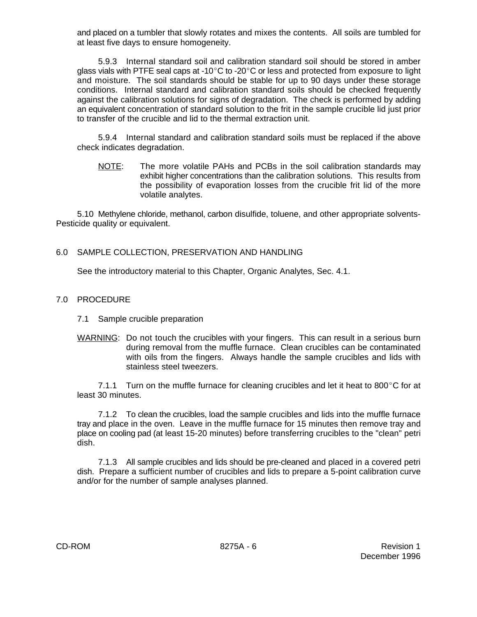and placed on a tumbler that slowly rotates and mixes the contents. All soils are tumbled for at least five days to ensure homogeneity.

5.9.3 Internal standard soil and calibration standard soil should be stored in amber glass vials with PTFE seal caps at -10°C to -20°C or less and protected from exposure to light and moisture. The soil standards should be stable for up to 90 days under these storage conditions. Internal standard and calibration standard soils should be checked frequently against the calibration solutions for signs of degradation. The check is performed by adding an equivalent concentration of standard solution to the frit in the sample crucible lid just prior to transfer of the crucible and lid to the thermal extraction unit.

5.9.4 Internal standard and calibration standard soils must be replaced if the above check indicates degradation.

NOTE: The more volatile PAHs and PCBs in the soil calibration standards may exhibit higher concentrations than the calibration solutions. This results from the possibility of evaporation losses from the crucible frit lid of the more volatile analytes.

5.10 Methylene chloride, methanol, carbon disulfide, toluene, and other appropriate solvents-Pesticide quality or equivalent.

# 6.0 SAMPLE COLLECTION, PRESERVATION AND HANDLING

See the introductory material to this Chapter, Organic Analytes, Sec. 4.1.

# 7.0 PROCEDURE

- 7.1 Sample crucible preparation
- WARNING: Do not touch the crucibles with your fingers. This can result in a serious burn during removal from the muffle furnace. Clean crucibles can be contaminated with oils from the fingers. Always handle the sample crucibles and lids with stainless steel tweezers.

7.1.1 Turn on the muffle furnace for cleaning crucibles and let it heat to 800 $^{\circ}$ C for at least 30 minutes.

7.1.2 To clean the crucibles, load the sample crucibles and lids into the muffle furnace tray and place in the oven. Leave in the muffle furnace for 15 minutes then remove tray and place on cooling pad (at least 15-20 minutes) before transferring crucibles to the "clean" petri dish.

7.1.3 All sample crucibles and lids should be pre-cleaned and placed in a covered petri dish. Prepare a sufficient number of crucibles and lids to prepare a 5-point calibration curve and/or for the number of sample analyses planned.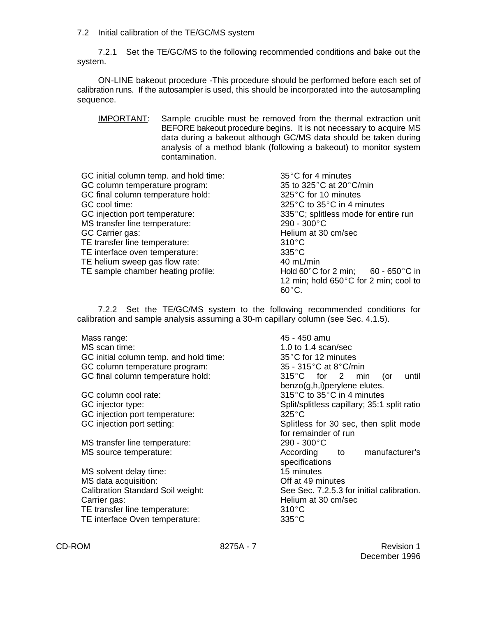7.2 Initial calibration of the TE/GC/MS system

7.2.1 Set the TE/GC/MS to the following recommended conditions and bake out the system.

ON-LINE bakeout procedure -This procedure should be performed before each set of calibration runs. If the autosampler is used, this should be incorporated into the autosampling sequence.

IMPORTANT: Sample crucible must be removed from the thermal extraction unit BEFORE bakeout procedure begins. It is not necessary to acquire MS data during a bakeout although GC/MS data should be taken during analysis of a method blank (following a bakeout) to monitor system contamination.

| GC initial column temp. and hold time: | 35°C for 4 minutes                                     |
|----------------------------------------|--------------------------------------------------------|
| GC column temperature program:         | 35 to 325 °C at 20 °C/min                              |
| GC final column temperature hold:      | 325°C for 10 minutes                                   |
| GC cool time:                          | 325 $\degree$ C to 35 $\degree$ C in 4 minutes         |
| GC injection port temperature:         | 335°C; splitless mode for entire run                   |
| MS transfer line temperature:          | 290 - 300°C                                            |
| GC Carrier gas:                        | Helium at 30 cm/sec                                    |
| TE transfer line temperature:          | $310^{\circ}$ C                                        |
| TE interface oven temperature:         | $335^{\circ}$ C                                        |
| TE helium sweep gas flow rate:         | 40 mL/min                                              |
| TE sample chamber heating profile:     | Hold 60 $\degree$ C for 2 min; 60 - 650 $\degree$ C in |
|                                        | 12 min; hold 650°C for 2 min; cool to                  |
|                                        | $60^{\circ}$ C.                                        |

7.2.2 Set the TE/GC/MS system to the following recommended conditions for calibration and sample analysis assuming a 30-m capillary column (see Sec. 4.1.5).

| Mass range:<br>MS scan time:<br>GC initial column temp. and hold time:<br>GC column temperature program:                    | 45 - 450 amu<br>1.0 to 1.4 scan/sec<br>35°C for 12 minutes<br>35 - 315 $\degree$ C at 8 $\degree$ C/min |  |  |  |
|-----------------------------------------------------------------------------------------------------------------------------|---------------------------------------------------------------------------------------------------------|--|--|--|
| GC final column temperature hold:                                                                                           | $315^{\circ}$ C for 2 min<br>until<br>(or<br>benzo(g,h,i)perylene elutes.                               |  |  |  |
| GC column cool rate:                                                                                                        | 315°C to 35°C in 4 minutes                                                                              |  |  |  |
| GC injector type:                                                                                                           | Split/splitless capillary; 35:1 split ratio                                                             |  |  |  |
| GC injection port temperature:                                                                                              | $325^{\circ}$ C                                                                                         |  |  |  |
| GC injection port setting:                                                                                                  | Splitless for 30 sec, then split mode                                                                   |  |  |  |
|                                                                                                                             | for remainder of run                                                                                    |  |  |  |
| MS transfer line temperature:                                                                                               | $290 - 300^{\circ}$ C                                                                                   |  |  |  |
| MS source temperature:                                                                                                      | manufacturer's<br>According to<br>specifications                                                        |  |  |  |
| MS solvent delay time:                                                                                                      | 15 minutes                                                                                              |  |  |  |
| MS data acquisition:                                                                                                        | Off at 49 minutes                                                                                       |  |  |  |
| <b>Calibration Standard Soil weight:</b><br>Carrier gas:<br>TE transfer line temperature:<br>TE interface Oven temperature: | See Sec. 7.2.5.3 for initial calibration.<br>Helium at 30 cm/sec<br>$310^{\circ}$ C<br>$335^{\circ}$ C  |  |  |  |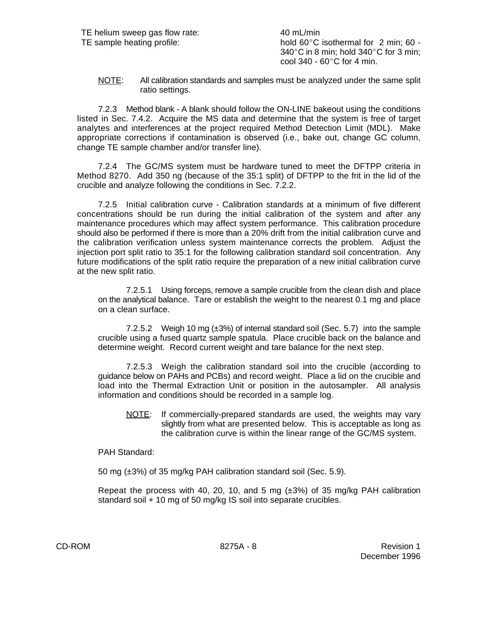TE sample heating profile:  $h$  hold 60°C isothermal for 2 min; 60 -340 $^{\circ}$ C in 8 min; hold 340 $^{\circ}$ C for 3 min; cool 340 -  $60^{\circ}$ C for 4 min.

NOTE: All calibration standards and samples must be analyzed under the same split ratio settings.

7.2.3 Method blank - A blank should follow the ON-LINE bakeout using the conditions listed in Sec. 7.4.2. Acquire the MS data and determine that the system is free of target analytes and interferences at the project required Method Detection Limit (MDL). Make appropriate corrections if contamination is observed (i.e., bake out, change GC column, change TE sample chamber and/or transfer line).

7.2.4 The GC/MS system must be hardware tuned to meet the DFTPP criteria in Method 8270. Add 350 ng (because of the 35:1 split) of DFTPP to the frit in the lid of the crucible and analyze following the conditions in Sec. 7.2.2.

7.2.5 Initial calibration curve - Calibration standards at a minimum of five different concentrations should be run during the initial calibration of the system and after any maintenance procedures which may affect system performance. This calibration procedure should also be performed if there is more than a 20% drift from the initial calibration curve and the calibration verification unless system maintenance corrects the problem. Adjust the injection port split ratio to 35:1 for the following calibration standard soil concentration. Any future modifications of the split ratio require the preparation of a new initial calibration curve at the new split ratio.

7.2.5.1 Using forceps, remove a sample crucible from the clean dish and place on the analytical balance. Tare or establish the weight to the nearest 0.1 mg and place on a clean surface.

7.2.5.2 Weigh 10 mg (±3%) of internal standard soil (Sec. 5.7) into the sample crucible using a fused quartz sample spatula. Place crucible back on the balance and determine weight. Record current weight and tare balance for the next step.

7.2.5.3 Weigh the calibration standard soil into the crucible (according to guidance below on PAHs and PCBs) and record weight. Place a lid on the crucible and load into the Thermal Extraction Unit or position in the autosampler. All analysis information and conditions should be recorded in a sample log.

NOTE: If commercially-prepared standards are used, the weights may vary slightly from what are presented below. This is acceptable as long as the calibration curve is within the linear range of the GC/MS system.

### PAH Standard:

50 mg (±3%) of 35 mg/kg PAH calibration standard soil (Sec. 5.9).

Repeat the process with 40, 20, 10, and 5 mg  $(\pm 3\%)$  of 35 mg/kg PAH calibration standard soil + 10 mg of 50 mg/kg IS soil into separate crucibles.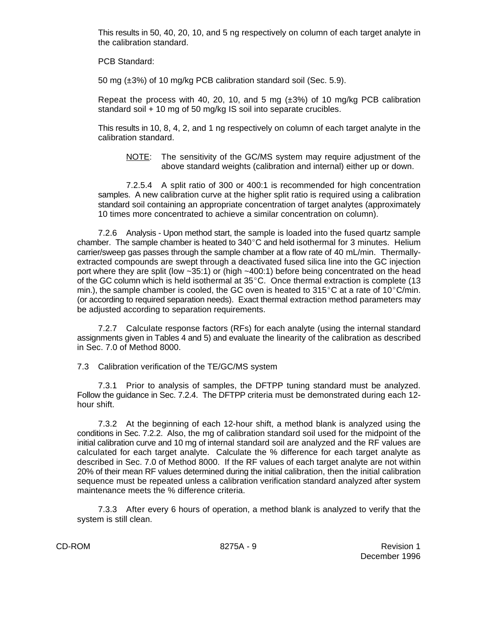This results in 50, 40, 20, 10, and 5 ng respectively on column of each target analyte in the calibration standard.

PCB Standard:

50 mg (±3%) of 10 mg/kg PCB calibration standard soil (Sec. 5.9).

Repeat the process with 40, 20, 10, and 5 mg  $(\pm 3\%)$  of 10 mg/kg PCB calibration standard soil + 10 mg of 50 mg/kg IS soil into separate crucibles.

This results in 10, 8, 4, 2, and 1 ng respectively on column of each target analyte in the calibration standard.

NOTE: The sensitivity of the GC/MS system may require adjustment of the above standard weights (calibration and internal) either up or down.

7.2.5.4 A split ratio of 300 or 400:1 is recommended for high concentration samples. A new calibration curve at the higher split ratio is required using a calibration standard soil containing an appropriate concentration of target analytes (approximately 10 times more concentrated to achieve a similar concentration on column).

7.2.6 Analysis - Upon method start, the sample is loaded into the fused quartz sample chamber. The sample chamber is heated to  $340^{\circ}$ C and held isothermal for 3 minutes. Helium carrier/sweep gas passes through the sample chamber at a flow rate of 40 mL/min. Thermallyextracted compounds are swept through a deactivated fused silica line into the GC injection port where they are split (low ~35:1) or (high ~400:1) before being concentrated on the head of the GC column which is held isothermal at  $35^{\circ}$ C. Once thermal extraction is complete (13 min.), the sample chamber is cooled, the GC oven is heated to  $315^{\circ}$ C at a rate of  $10^{\circ}$ C/min. (or according to required separation needs). Exact thermal extraction method parameters may be adjusted according to separation requirements.

7.2.7 Calculate response factors (RFs) for each analyte (using the internal standard assignments given in Tables 4 and 5) and evaluate the linearity of the calibration as described in Sec. 7.0 of Method 8000.

7.3 Calibration verification of the TE/GC/MS system

7.3.1 Prior to analysis of samples, the DFTPP tuning standard must be analyzed. Follow the guidance in Sec. 7.2.4. The DFTPP criteria must be demonstrated during each 12 hour shift.

7.3.2 At the beginning of each 12-hour shift, a method blank is analyzed using the conditions in Sec. 7.2.2. Also, the mg of calibration standard soil used for the midpoint of the initial calibration curve and 10 mg of internal standard soil are analyzed and the RF values are calculated for each target analyte. Calculate the % difference for each target analyte as described in Sec. 7.0 of Method 8000. If the RF values of each target analyte are not within 20% of their mean RF values determined during the initial calibration, then the initial calibration sequence must be repeated unless a calibration verification standard analyzed after system maintenance meets the % difference criteria.

7.3.3 After every 6 hours of operation, a method blank is analyzed to verify that the system is still clean.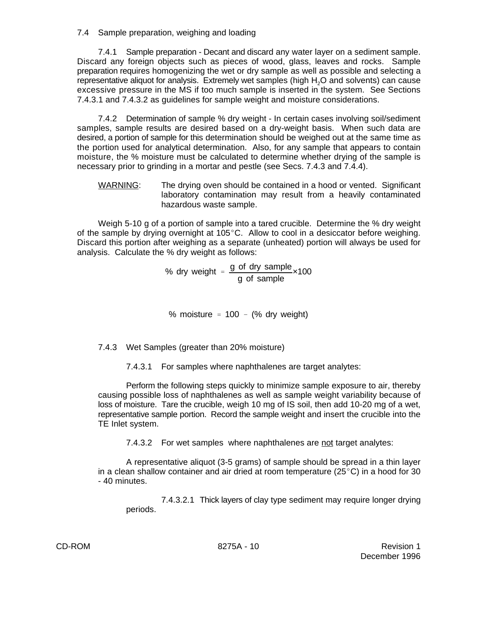7.4 Sample preparation, weighing and loading

7.4.1 Sample preparation - Decant and discard any water layer on a sediment sample. Discard any foreign objects such as pieces of wood, glass, leaves and rocks. Sample preparation requires homogenizing the wet or dry sample as well as possible and selecting a representative aliquot for analysis. Extremely wet samples (high H<sub>2</sub>O and solvents) can cause excessive pressure in the MS if too much sample is inserted in the system. See Sections 7.4.3.1 and 7.4.3.2 as guidelines for sample weight and moisture considerations.

7.4.2 Determination of sample % dry weight - In certain cases involving soil/sediment samples, sample results are desired based on a dry-weight basis. When such data are desired, a portion of sample for this determination should be weighed out at the same time as the portion used for analytical determination. Also, for any sample that appears to contain moisture, the % moisture must be calculated to determine whether drying of the sample is necessary prior to grinding in a mortar and pestle (see Secs. 7.4.3 and 7.4.4).

WARNING: The drying oven should be contained in a hood or vented. Significant laboratory contamination may result from a heavily contaminated hazardous waste sample.

Weigh 5-10 g of a portion of sample into a tared crucible. Determine the % dry weight of the sample by drying overnight at  $105^{\circ}$ C. Allow to cool in a desiccator before weighing. Discard this portion after weighing as a separate (unheated) portion will always be used for analysis. Calculate the % dry weight as follows:

> % dry weight  $=$   $\frac{g \text{ of }$  dry sample g of sample ×100

% moisture  $= 100 - (%$  dry weight)

7.4.3 Wet Samples (greater than 20% moisture)

7.4.3.1 For samples where naphthalenes are target analytes:

Perform the following steps quickly to minimize sample exposure to air, thereby causing possible loss of naphthalenes as well as sample weight variability because of loss of moisture. Tare the crucible, weigh 10 mg of IS soil, then add 10-20 mg of a wet, representative sample portion. Record the sample weight and insert the crucible into the TE Inlet system.

7.4.3.2 For wet samples where naphthalenes are not target analytes:

A representative aliquot (3-5 grams) of sample should be spread in a thin layer in a clean shallow container and air dried at room temperature ( $25^{\circ}$ C) in a hood for 30 - 40 minutes.

7.4.3.2.1 Thick layers of clay type sediment may require longer drying periods.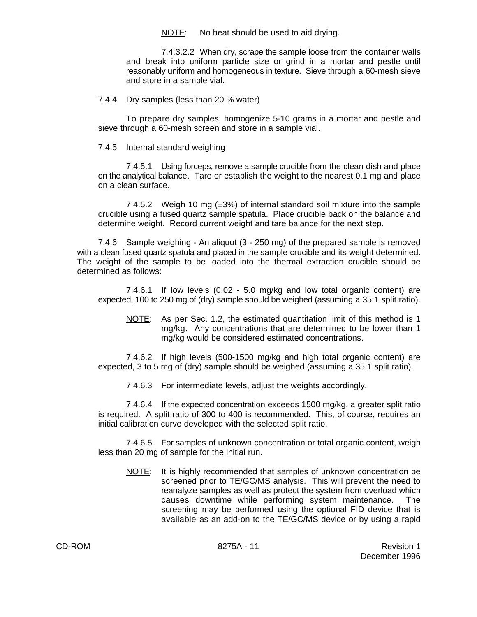NOTE: No heat should be used to aid drying.

7.4.3.2.2 When dry, scrape the sample loose from the container walls and break into uniform particle size or grind in a mortar and pestle until reasonably uniform and homogeneous in texture. Sieve through a 60-mesh sieve and store in a sample vial.

7.4.4 Dry samples (less than 20 % water)

To prepare dry samples, homogenize 5-10 grams in a mortar and pestle and sieve through a 60-mesh screen and store in a sample vial.

7.4.5 Internal standard weighing

7.4.5.1 Using forceps, remove a sample crucible from the clean dish and place on the analytical balance. Tare or establish the weight to the nearest 0.1 mg and place on a clean surface.

7.4.5.2 Weigh 10 mg  $(\pm 3\%)$  of internal standard soil mixture into the sample crucible using a fused quartz sample spatula. Place crucible back on the balance and determine weight. Record current weight and tare balance for the next step.

7.4.6 Sample weighing - An aliquot (3 - 250 mg) of the prepared sample is removed with a clean fused quartz spatula and placed in the sample crucible and its weight determined. The weight of the sample to be loaded into the thermal extraction crucible should be determined as follows:

7.4.6.1 If low levels (0.02 - 5.0 mg/kg and low total organic content) are expected, 100 to 250 mg of (dry) sample should be weighed (assuming a 35:1 split ratio).

NOTE: As per Sec. 1.2, the estimated quantitation limit of this method is 1 mg/kg. Any concentrations that are determined to be lower than 1 mg/kg would be considered estimated concentrations.

7.4.6.2 If high levels (500-1500 mg/kg and high total organic content) are expected, 3 to 5 mg of (dry) sample should be weighed (assuming a 35:1 split ratio).

7.4.6.3 For intermediate levels, adjust the weights accordingly.

7.4.6.4 If the expected concentration exceeds 1500 mg/kg, a greater split ratio is required. A split ratio of 300 to 400 is recommended. This, of course, requires an initial calibration curve developed with the selected split ratio.

7.4.6.5 For samples of unknown concentration or total organic content, weigh less than 20 mg of sample for the initial run.

NOTE: It is highly recommended that samples of unknown concentration be screened prior to TE/GC/MS analysis. This will prevent the need to reanalyze samples as well as protect the system from overload which causes downtime while performing system maintenance. The screening may be performed using the optional FID device that is available as an add-on to the TE/GC/MS device or by using a rapid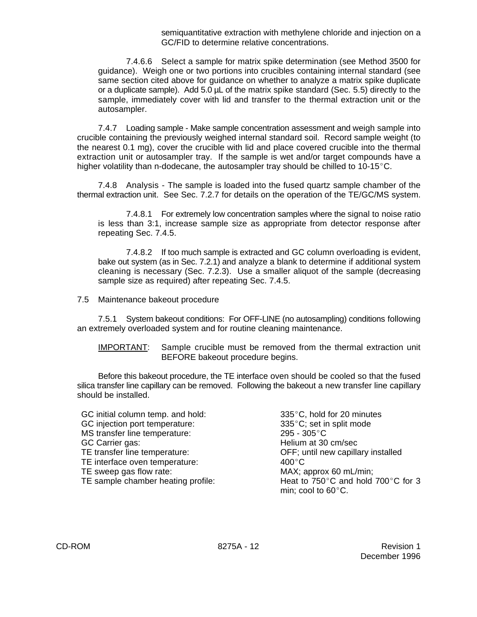semiquantitative extraction with methylene chloride and injection on a GC/FID to determine relative concentrations.

7.4.6.6 Select a sample for matrix spike determination (see Method 3500 for guidance). Weigh one or two portions into crucibles containing internal standard (see same section cited above for guidance on whether to analyze a matrix spike duplicate or a duplicate sample). Add 5.0 µL of the matrix spike standard (Sec. 5.5) directly to the sample, immediately cover with lid and transfer to the thermal extraction unit or the autosampler.

7.4.7 Loading sample - Make sample concentration assessment and weigh sample into crucible containing the previously weighed internal standard soil. Record sample weight (to the nearest 0.1 mg), cover the crucible with lid and place covered crucible into the thermal extraction unit or autosampler tray. If the sample is wet and/or target compounds have a higher volatility than n-dodecane, the autosampler tray should be chilled to 10-15 $^{\circ}$ C.

7.4.8 Analysis - The sample is loaded into the fused quartz sample chamber of the thermal extraction unit. See Sec. 7.2.7 for details on the operation of the TE/GC/MS system.

7.4.8.1 For extremely low concentration samples where the signal to noise ratio is less than 3:1, increase sample size as appropriate from detector response after repeating Sec. 7.4.5.

7.4.8.2 If too much sample is extracted and GC column overloading is evident, bake out system (as in Sec. 7.2.1) and analyze a blank to determine if additional system cleaning is necessary (Sec. 7.2.3). Use a smaller aliquot of the sample (decreasing sample size as required) after repeating Sec. 7.4.5.

7.5 Maintenance bakeout procedure

7.5.1 System bakeout conditions: For OFF-LINE (no autosampling) conditions following an extremely overloaded system and for routine cleaning maintenance.

### IMPORTANT: Sample crucible must be removed from the thermal extraction unit BEFORE bakeout procedure begins.

Before this bakeout procedure, the TE interface oven should be cooled so that the fused silica transfer line capillary can be removed. Following the bakeout a new transfer line capillary should be installed.

| GC initial column temp. and hold:  | 335°C, hold for 20 minutes         |
|------------------------------------|------------------------------------|
| GC injection port temperature:     | 335°C; set in split mode           |
| MS transfer line temperature:      | $295 - 305^{\circ}C$               |
| GC Carrier gas:                    | Helium at 30 cm/sec                |
| TE transfer line temperature:      | OFF; until new capillary installed |
| TE interface oven temperature:     | $400^{\circ}$ C                    |
| TE sweep gas flow rate:            | MAX; approx 60 mL/min;             |
| TE sample chamber heating profile: | Heat to 750°C and hold 700°C for 3 |
|                                    | min; cool to $60^{\circ}$ C.       |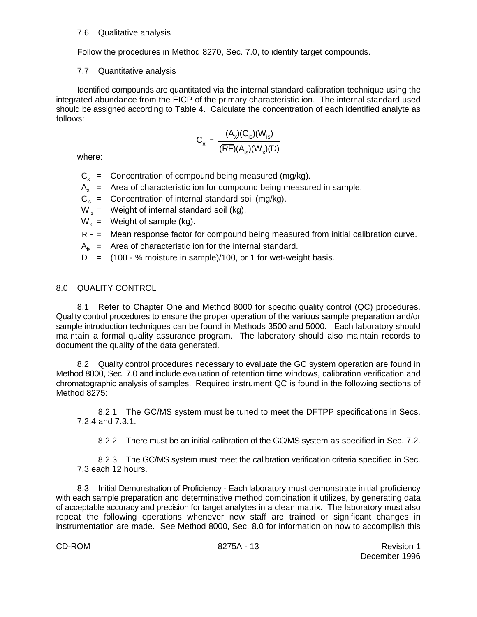### 7.6 Qualitative analysis

Follow the procedures in Method 8270, Sec. 7.0, to identify target compounds.

### 7.7 Quantitative analysis

Identified compounds are quantitated via the internal standard calibration technique using the integrated abundance from the EICP of the primary characteristic ion. The internal standard used should be assigned according to Table 4. Calculate the concentration of each identified analyte as follows:

$$
C_x = \frac{(A_x)(C_{is})(W_{is})}{(\overline{RF})(A_{is})(W_x)(D)}
$$

where:

- $C_x$  = Concentration of compound being measured (mg/kg).
- $A<sub>x</sub>$  = Area of characteristic ion for compound being measured in sample.
- $C_{iS}$  = Concentration of internal standard soil (mg/kg).
- $W_{iS}$  = Weight of internal standard soil (kg).
- $W<sub>x</sub>$  = Weight of sample (kg).
- $\overline{RF}$  = Mean response factor for compound being measured from initial calibration curve.
- $A_{i_{n}}$  = Area of characteristic ion for the internal standard.
- $D = (100 % \text{ moisture in sample})/100$ , or 1 for wet-weight basis.

# 8.0 QUALITY CONTROL

8.1 Refer to Chapter One and Method 8000 for specific quality control (QC) procedures. Quality control procedures to ensure the proper operation of the various sample preparation and/or sample introduction techniques can be found in Methods 3500 and 5000. Each laboratory should maintain a formal quality assurance program. The laboratory should also maintain records to document the quality of the data generated.

8.2 Quality control procedures necessary to evaluate the GC system operation are found in Method 8000, Sec. 7.0 and include evaluation of retention time windows, calibration verification and chromatographic analysis of samples. Required instrument QC is found in the following sections of Method 8275:

8.2.1 The GC/MS system must be tuned to meet the DFTPP specifications in Secs. 7.2.4 and 7.3.1.

8.2.2 There must be an initial calibration of the GC/MS system as specified in Sec. 7.2.

8.2.3 The GC/MS system must meet the calibration verification criteria specified in Sec. 7.3 each 12 hours.

8.3 Initial Demonstration of Proficiency - Each laboratory must demonstrate initial proficiency with each sample preparation and determinative method combination it utilizes, by generating data of acceptable accuracy and precision for target analytes in a clean matrix. The laboratory must also repeat the following operations whenever new staff are trained or significant changes in instrumentation are made. See Method 8000, Sec. 8.0 for information on how to accomplish this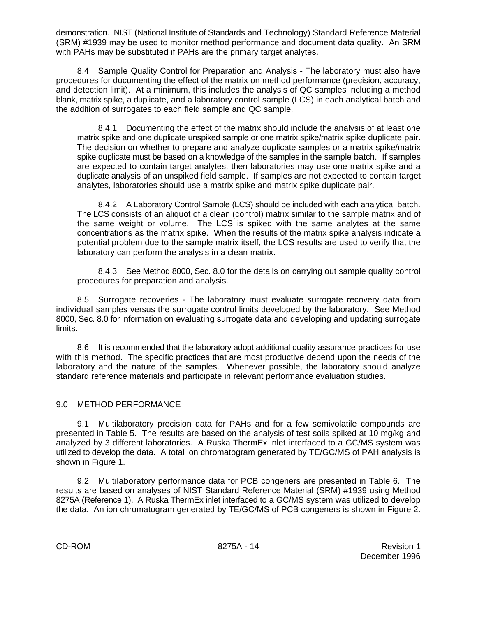demonstration. NIST (National Institute of Standards and Technology) Standard Reference Material (SRM) #1939 may be used to monitor method performance and document data quality. An SRM with PAHs may be substituted if PAHs are the primary target analytes.

8.4 Sample Quality Control for Preparation and Analysis - The laboratory must also have procedures for documenting the effect of the matrix on method performance (precision, accuracy, and detection limit). At a minimum, this includes the analysis of QC samples including a method blank, matrix spike, a duplicate, and a laboratory control sample (LCS) in each analytical batch and the addition of surrogates to each field sample and QC sample.

8.4.1 Documenting the effect of the matrix should include the analysis of at least one matrix spike and one duplicate unspiked sample or one matrix spike/matrix spike duplicate pair. The decision on whether to prepare and analyze duplicate samples or a matrix spike/matrix spike duplicate must be based on a knowledge of the samples in the sample batch. If samples are expected to contain target analytes, then laboratories may use one matrix spike and a duplicate analysis of an unspiked field sample. If samples are not expected to contain target analytes, laboratories should use a matrix spike and matrix spike duplicate pair.

8.4.2 A Laboratory Control Sample (LCS) should be included with each analytical batch. The LCS consists of an aliquot of a clean (control) matrix similar to the sample matrix and of the same weight or volume. The LCS is spiked with the same analytes at the same concentrations as the matrix spike. When the results of the matrix spike analysis indicate a potential problem due to the sample matrix itself, the LCS results are used to verify that the laboratory can perform the analysis in a clean matrix.

8.4.3 See Method 8000, Sec. 8.0 for the details on carrying out sample quality control procedures for preparation and analysis.

8.5 Surrogate recoveries - The laboratory must evaluate surrogate recovery data from individual samples versus the surrogate control limits developed by the laboratory. See Method 8000, Sec. 8.0 for information on evaluating surrogate data and developing and updating surrogate limits.

8.6 It is recommended that the laboratory adopt additional quality assurance practices for use with this method. The specific practices that are most productive depend upon the needs of the laboratory and the nature of the samples. Whenever possible, the laboratory should analyze standard reference materials and participate in relevant performance evaluation studies.

# 9.0 METHOD PERFORMANCE

9.1 Multilaboratory precision data for PAHs and for a few semivolatile compounds are presented in Table 5. The results are based on the analysis of test soils spiked at 10 mg/kg and analyzed by 3 different laboratories. A Ruska ThermEx inlet interfaced to a GC/MS system was utilized to develop the data. A total ion chromatogram generated by TE/GC/MS of PAH analysis is shown in Figure 1.

9.2 Multilaboratory performance data for PCB congeners are presented in Table 6. The results are based on analyses of NIST Standard Reference Material (SRM) #1939 using Method 8275A (Reference 1). A Ruska ThermEx inlet interfaced to a GC/MS system was utilized to develop the data. An ion chromatogram generated by TE/GC/MS of PCB congeners is shown in Figure 2.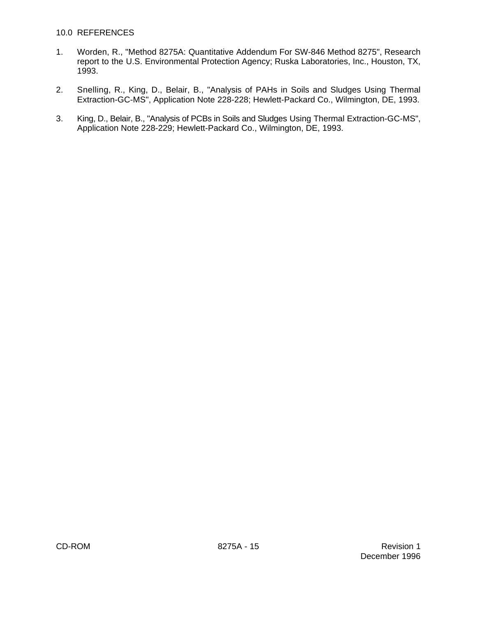### 10.0 REFERENCES

- 1. Worden, R., "Method 8275A: Quantitative Addendum For SW-846 Method 8275", Research report to the U.S. Environmental Protection Agency; Ruska Laboratories, Inc., Houston, TX, 1993.
- 2. Snelling, R., King, D., Belair, B., "Analysis of PAHs in Soils and Sludges Using Thermal Extraction-GC-MS", Application Note 228-228; Hewlett-Packard Co., Wilmington, DE, 1993.
- 3. King, D., Belair, B., "Analysis of PCBs in Soils and Sludges Using Thermal Extraction-GC-MS", Application Note 228-229; Hewlett-Packard Co., Wilmington, DE, 1993.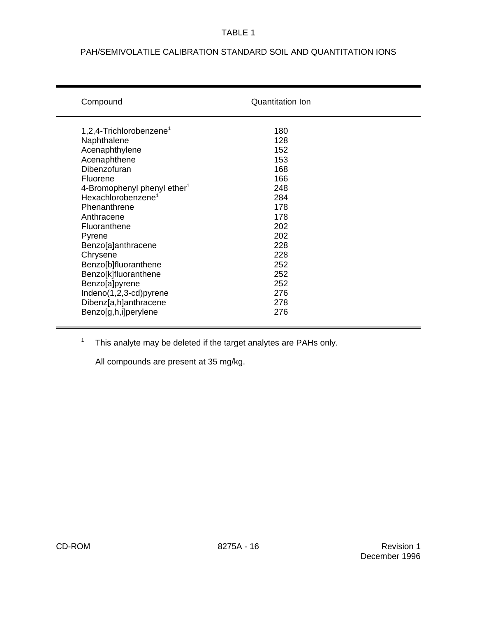# PAH/SEMIVOLATILE CALIBRATION STANDARD SOIL AND QUANTITATION IONS

| Compound                                | <b>Quantitation Ion</b> |  |
|-----------------------------------------|-------------------------|--|
| 1,2,4-Trichlorobenzene <sup>1</sup>     | 180                     |  |
| Naphthalene                             | 128                     |  |
| Acenaphthylene                          | 152                     |  |
| Acenaphthene                            | 153                     |  |
| Dibenzofuran                            | 168                     |  |
| Fluorene                                | 166                     |  |
| 4-Bromophenyl phenyl ether <sup>1</sup> | 248                     |  |
| Hexachlorobenzene <sup>1</sup>          | 284                     |  |
| Phenanthrene                            | 178                     |  |
| Anthracene                              | 178                     |  |
| Fluoranthene                            | 202                     |  |
| Pyrene                                  | 202                     |  |
| Benzo[a]anthracene                      | 228                     |  |
| Chrysene                                | 228                     |  |
| Benzo[b]fluoranthene                    | 252                     |  |
| Benzo[k]fluoranthene                    | 252                     |  |
| Benzo[a]pyrene                          | 252                     |  |
| Indeno(1,2,3-cd)pyrene                  | 276                     |  |
| Dibenz[a,h]anthracene                   | 278                     |  |
| Benzo[g,h,i]perylene                    | 276                     |  |
|                                         |                         |  |

 $1$  This analyte may be deleted if the target analytes are PAHs only.

All compounds are present at 35 mg/kg.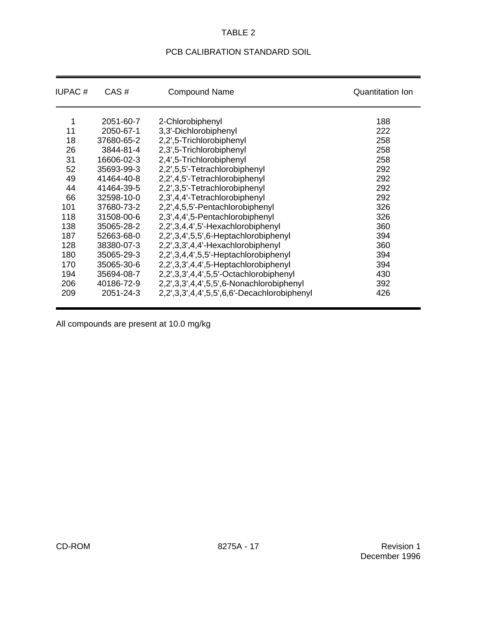# PCB CALIBRATION STANDARD SOIL

| <b>IUPAC#</b> | CAS#       | <b>Compound Name</b>                        | <b>Quantitation Ion</b> |
|---------------|------------|---------------------------------------------|-------------------------|
| 1             | 2051-60-7  | 2-Chlorobiphenyl                            | 188                     |
| 11            | 2050-67-1  | 3,3'-Dichlorobiphenyl                       | 222                     |
| 18            | 37680-65-2 | 2,2',5-Trichlorobiphenyl                    | 258                     |
| 26            | 3844-81-4  | 2,3',5-Trichlorobiphenyl                    | 258                     |
| 31            | 16606-02-3 | 2,4',5-Trichlorobiphenyl                    | 258                     |
| 52            | 35693-99-3 | 2,2',5,5'-Tetrachlorobiphenyl               | 292                     |
| 49            | 41464-40-8 | 2,2',4,5'-Tetrachlorobiphenyl               | 292                     |
| 44            | 41464-39-5 | 2,2',3,5'-Tetrachlorobiphenyl               | 292                     |
| 66            | 32598-10-0 | 2,3',4,4'-Tetrachlorobiphenyl               | 292                     |
| 101           | 37680-73-2 | 2,2',4,5,5'-Pentachlorobiphenyl             | 326                     |
| 118           | 31508-00-6 | 2,3',4,4',5-Pentachlorobiphenyl             | 326                     |
| 138           | 35065-28-2 | 2,2',3,4,4',5'-Hexachlorobiphenyl           | 360                     |
| 187           | 52663-68-0 | 2,2',3,4',5,5',6-Heptachlorobiphenyl        | 394                     |
| 128           | 38380-07-3 | 2,2',3,3',4,4'-Hexachlorobiphenyl           | 360                     |
| 180           | 35065-29-3 | 2,2',3,4,4',5,5'-Heptachlorobiphenyl        | 394                     |
| 170           | 35065-30-6 | 2,2',3,3',4,4',5-Heptachlorobiphenyl        | 394                     |
| 194           | 35694-08-7 | 2,2',3,3',4,4',5,5'-Octachlorobiphenyl      | 430                     |
| 206           | 40186-72-9 | 2,2',3,3',4,4',5,5',6-Nonachlorobiphenyl    | 392                     |
| 209           | 2051-24-3  | 2,2',3,3',4,4',5,5',6,6'-Decachlorobiphenyl | 426                     |

All compounds are present at 10.0 mg/kg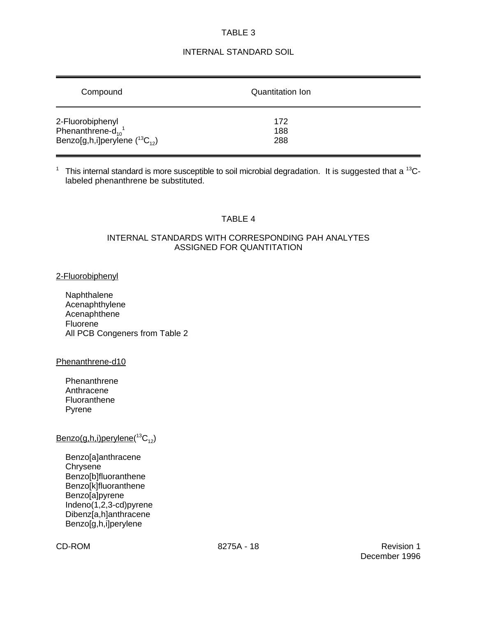# INTERNAL STANDARD SOIL

| Compound                                                                                              | Quantitation Ion  |  |
|-------------------------------------------------------------------------------------------------------|-------------------|--|
| 2-Fluorobiphenyl<br>Phenanthrene-d <sub>10</sub> <sup>1</sup><br>Benzo[g,h,i]perylene $(^{13}C_{12})$ | 172<br>188<br>288 |  |

<sup>1</sup> This internal standard is more susceptible to soil microbial degradation. It is suggested that a <sup>13</sup>Clabeled phenanthrene be substituted.

# TABLE 4

### INTERNAL STANDARDS WITH CORRESPONDING PAH ANALYTES ASSIGNED FOR QUANTITATION

### 2-Fluorobiphenyl

Naphthalene Acenaphthylene **Acenaphthene** Fluorene All PCB Congeners from Table 2

### Phenanthrene-d10

**Phenanthrene** Anthracene Fluoranthene Pyrene

# $\mathsf{Benzo(g,h,i)}$ perylene $(^{13}\mathrm{C}_{12})$

Benzo[a]anthracene **Chrysene** Benzo[b]fluoranthene Benzo[k]fluoranthene Benzo[a]pyrene Indeno(1,2,3-cd)pyrene Dibenz[a,h]anthracene Benzo[g,h,i]perylene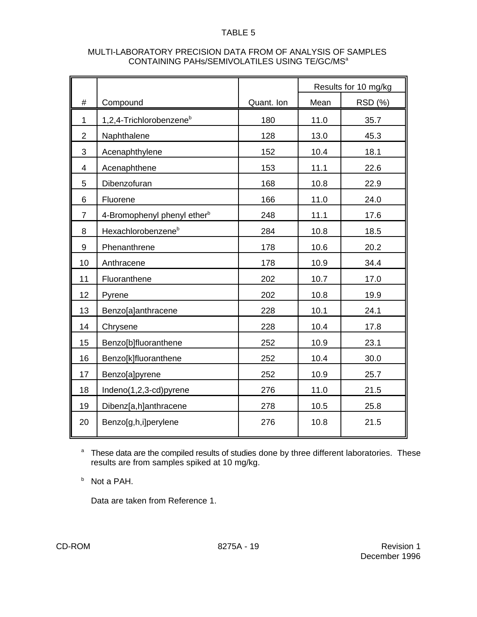| MULTI-LABORATORY PRECISION DATA FROM OF ANALYSIS OF SAMPLES |
|-------------------------------------------------------------|
| CONTAINING PAHS/SEMIVOLATILES USING TE/GC/MS <sup>a</sup>   |

|                         |                                         |            | Results for 10 mg/kg |         |
|-------------------------|-----------------------------------------|------------|----------------------|---------|
| #                       | Compound                                | Quant. Ion | Mean                 | RSD (%) |
| $\mathbf 1$             | 1,2,4-Trichlorobenzene <sup>b</sup>     | 180        | 11.0                 | 35.7    |
| $\overline{2}$          | Naphthalene                             | 128        | 13.0                 | 45.3    |
| 3                       | Acenaphthylene                          | 152        | 10.4                 | 18.1    |
| $\overline{\mathbf{4}}$ | Acenaphthene                            | 153        | 11.1                 | 22.6    |
| 5                       | Dibenzofuran                            | 168        | 10.8                 | 22.9    |
| 6                       | Fluorene                                | 166        | 11.0                 | 24.0    |
| $\overline{7}$          | 4-Bromophenyl phenyl ether <sup>b</sup> | 248        | 11.1                 | 17.6    |
| 8                       | Hexachlorobenzene <sup>b</sup>          | 284        | 10.8                 | 18.5    |
| 9                       | Phenanthrene                            | 178        | 10.6                 | 20.2    |
| 10                      | Anthracene                              | 178        | 10.9                 | 34.4    |
| 11                      | Fluoranthene                            | 202        | 10.7                 | 17.0    |
| 12                      | Pyrene                                  | 202        | 10.8                 | 19.9    |
| 13                      | Benzo[a]anthracene                      | 228        | 10.1                 | 24.1    |
| 14                      | Chrysene                                | 228        | 10.4                 | 17.8    |
| 15                      | Benzo[b]fluoranthene                    | 252        | 10.9                 | 23.1    |
| 16                      | Benzo[k]fluoranthene                    | 252        | 10.4                 | 30.0    |
| 17                      | Benzo[a]pyrene                          | 252        | 10.9                 | 25.7    |
| 18                      | Indeno(1,2,3-cd)pyrene                  | 276        | 11.0                 | 21.5    |
| 19                      | Dibenz[a,h]anthracene                   | 278        | 10.5                 | 25.8    |
| 20                      | Benzo[g,h,i]perylene                    | 276        | 10.8                 | 21.5    |

<sup>a</sup> These data are the compiled results of studies done by three different laboratories. These results are from samples spiked at 10 mg/kg.

 $b$  Not a PAH.

Data are taken from Reference 1.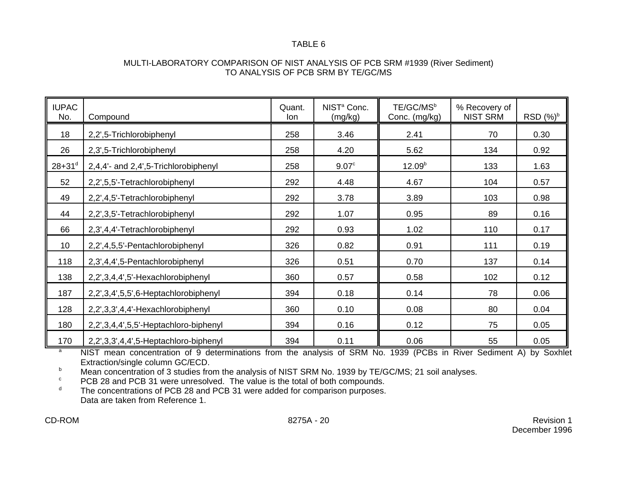### MULTI-LABORATORY COMPARISON OF NIST ANALYSIS OF PCB SRM #1939 (River Sediment) TO ANALYSIS OF PCB SRM BY TE/GC/MS

| <b>IUPAC</b><br>No.    | Compound                              | Quant.<br>lon | NIST <sup>a</sup> Conc.<br>(mg/kg) | TE/GC/MS <sup>b</sup><br>Conc. (mg/kg) | % Recovery of<br><b>NIST SRM</b> | RSD $(\%)^b$ |
|------------------------|---------------------------------------|---------------|------------------------------------|----------------------------------------|----------------------------------|--------------|
| 18                     | 2,2',5-Trichlorobiphenyl              | 258           | 3.46                               | 2.41                                   | 70                               | 0.30         |
| 26                     | 2,3',5-Trichlorobiphenyl              | 258           | 4.20                               | 5.62                                   | 134                              | 0.92         |
| $28 + 31$ <sup>d</sup> | 2,4,4'- and 2,4',5-Trichlorobiphenyl  | 258           | 9.07 <sup>c</sup>                  | 12.09 <sup>b</sup>                     | 133                              | 1.63         |
| 52                     | 2,2',5,5'-Tetrachlorobiphenyl         | 292           | 4.48                               | 4.67                                   | 104                              | 0.57         |
| 49                     | 2,2',4,5'-Tetrachlorobiphenyl         | 292           | 3.78                               | 3.89                                   | 103                              | 0.98         |
| 44                     | 2,2',3,5'-Tetrachlorobiphenyl         | 292           | 1.07                               | 0.95                                   | 89                               | 0.16         |
| 66                     | 2,3',4,4'-Tetrachlorobiphenyl         | 292           | 0.93                               | 1.02                                   | 110                              | 0.17         |
| 10 <sup>°</sup>        | 2,2',4,5,5'-Pentachlorobiphenyl       | 326           | 0.82                               | 0.91                                   | 111                              | 0.19         |
| 118                    | 2,3',4,4',5-Pentachlorobiphenyl       | 326           | 0.51                               | 0.70                                   | 137                              | 0.14         |
| 138                    | 2,2',3,4,4',5'-Hexachlorobiphenyl     | 360           | 0.57                               | 0.58                                   | 102                              | 0.12         |
| 187                    | 2,2',3,4',5,5',6-Heptachlorobiphenyl  | 394           | 0.18                               | 0.14                                   | 78                               | 0.06         |
| 128                    | 2,2',3,3',4,4'-Hexachlorobiphenyl     | 360           | 0.10                               | 0.08                                   | 80                               | 0.04         |
| 180                    | 2,2',3,4,4',5,5'-Heptachloro-biphenyl | 394           | 0.16                               | 0.12                                   | 75                               | 0.05         |
| 170                    | 2,2',3,3',4,4',5-Heptachloro-biphenyl | 394           | 0.11                               | 0.06                                   | 55                               | 0.05         |

NIST mean concentration of 9 determinations from the analysis of SRM No. 1939 (PCBs in River Sediment A) by Soxhlet a Extraction/single column GC/ECD.

Mean concentration of 3 studies from the analysis of NIST SRM No. 1939 by TE/GC/MS; 21 soil analyses.

PCB 28 and PCB 31 were unresolved. The value is the total of both compounds.<br>The concentrations of PCB 28 and PCB 31 were added for comparison purposes.

The concentrations of PCB 28 and PCB 31 were added for comparison purposes. Data are taken from Reference 1.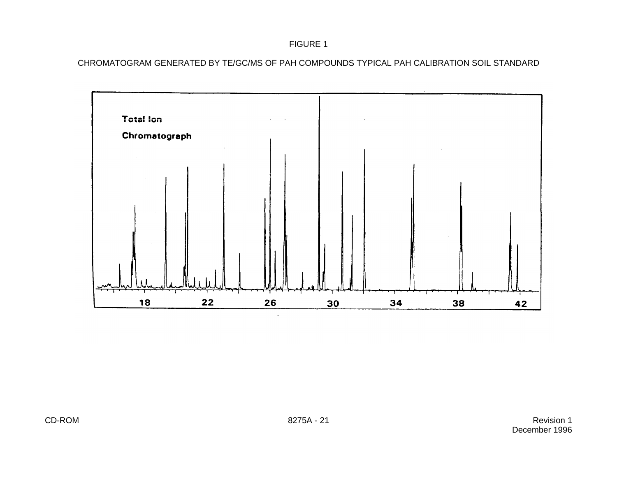# FIGURE 1

CHROMATOGRAM GENERATED BY TE/GC/MS OF PAH COMPOUNDS TYPICAL PAH CALIBRATION SOIL STANDARD

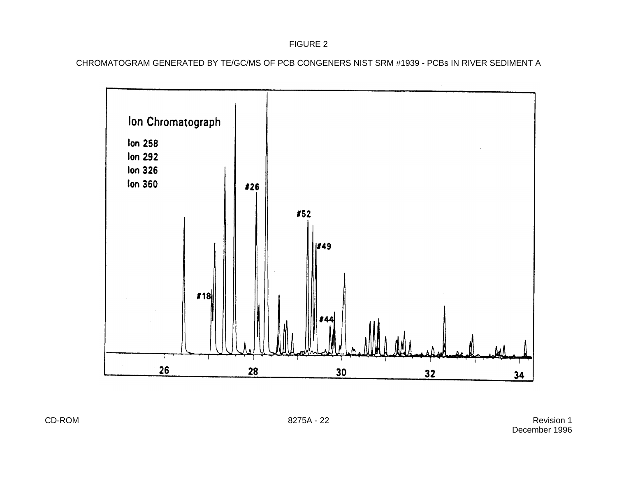# FIGURE 2

CHROMATOGRAM GENERATED BY TE/GC/MS OF PCB CONGENERS NIST SRM #1939 - PCBs IN RIVER SEDIMENT A